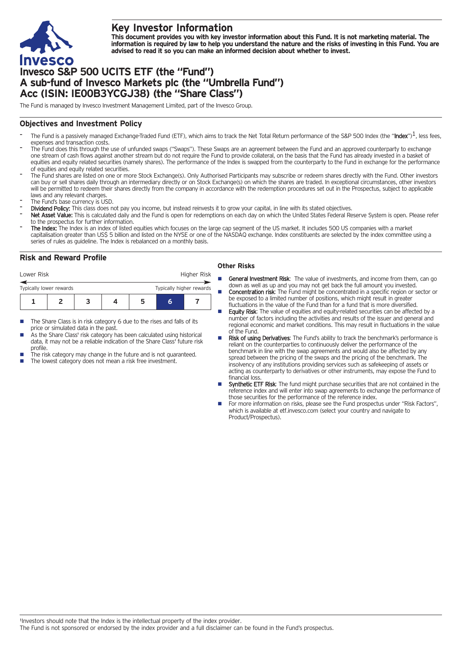

# **Key Investor Information**

This document provides you with key investor information about this Fund. It is not marketing material. The information is required by law to help you understand the nature and the risks of investing in this Fund. You are **advised to read it so you can make an informed decision about whether to invest.**

# **Invesco S&P 500 UCITS ETF (the "Fund") A sub-fund of Invesco Markets plc (the "Umbrella Fund") Acc (ISIN: IE00B3YCGJ38) (the "Share Class")**

The Fund is managed by Invesco Investment Management Limited, part of the Invesco Group.

## **Objectives and Investment Policy**

- The Fund is a passively managed Exchange-Traded Fund (ETF), which aims to track the Net Total Return performance of the S&P 500 Index (the "Index")<sup>1</sup>, less fees, expenses and transaction costs.
- The Fund does this through the use of unfunded swaps ("Swaps"). These Swaps are an agreement between the Fund and an approved counterparty to exchange one stream of cash flows against another stream but do not require the Fund to provide collateral, on the basis that the Fund has already invested in a basket of equities and equity related securities (namely shares). The performance of the Index is swapped from the counterparty to the Fund in exchange for the performance of equities and equity related securities.
- The Fund shares are listed on one or more Stock Exchange(s). Only Authorised Participants may subscribe or redeem shares directly with the Fund. Other investors can buy or sell shares daily through an intermediary directly or on Stock Exchange(s) on which the shares are traded. In exceptional circumstances, other investors will be permitted to redeem their shares directly from the company in accordance with the redemption procedures set out in the Prospectus, subject to applicable laws and any relevant charges.
- The Fund's base currency is USD.
- Dividend Policy: This class does not pay you income, but instead reinvests it to grow your capital, in line with its stated objectives.
- Net Asset Value: This is calculated daily and the Fund is open for redemptions on each day on which the United States Federal Reserve System is open. Please refer to the prospectus for further information.
- The Index: The Index is an index of listed equities which focuses on the large cap segment of the US market. It includes 500 US companies with a market capitalisation greater than US\$ 5 billion and listed on the NYSE or one of the NASDAQ exchange. Index constituents are selected by the index committee using a series of rules as guideline. The Index is rebalanced on a monthly basis.

## **Risk and Reward Profile**

| Lower Risk                                          |  |  |  |  |   | Higher Risk |  |
|-----------------------------------------------------|--|--|--|--|---|-------------|--|
| Typically higher rewards<br>Typically lower rewards |  |  |  |  |   |             |  |
|                                                     |  |  |  |  | h |             |  |

- The Share Class is in risk category 6 due to the rises and falls of its price or simulated data in the past.
- As the Share Class' risk category has been calculated using historical data, it may not be a reliable indication of the Share Class' future risk profile.
- The risk category may change in the future and is not guaranteed.
- The lowest category does not mean a risk free investment.

### **Other Risks**

- General Investment Risk: The value of investments, and income from them, can go down as well as up and you may not get back the full amount you invested.
- **Concentration risk:** The Fund might be concentrated in a specific region or sector or be exposed to a limited number of positions, which might result in greater fluctuations in the value of the Fund than for a fund that is more diversified.
- Equity Risk: The value of equities and equity-related securities can be affected by a number of factors including the activities and results of the issuer and general and regional economic and market conditions. This may result in fluctuations in the value of the Fund.
- Risk of using Derivatives: The Fund's ability to track the benchmark's performance is reliant on the counterparties to continuously deliver the performance of the benchmark in line with the swap agreements and would also be affected by any spread between the pricing of the swaps and the pricing of the benchmark. The insolvency of any institutions providing services such as safekeeping of assets or acting as counterparty to derivatives or other instruments, may expose the Fund to financial loss.
- Synthetic ETF Risk: The fund might purchase securities that are not contained in the reference index and will enter into swap agreements to exchange the performance of those securities for the performance of the reference index.
- For more information on risks, please see the Fund prospectus under "Risk Factors", which is available at etf.invesco.com (select your country and navigate to Product/Prospectus).